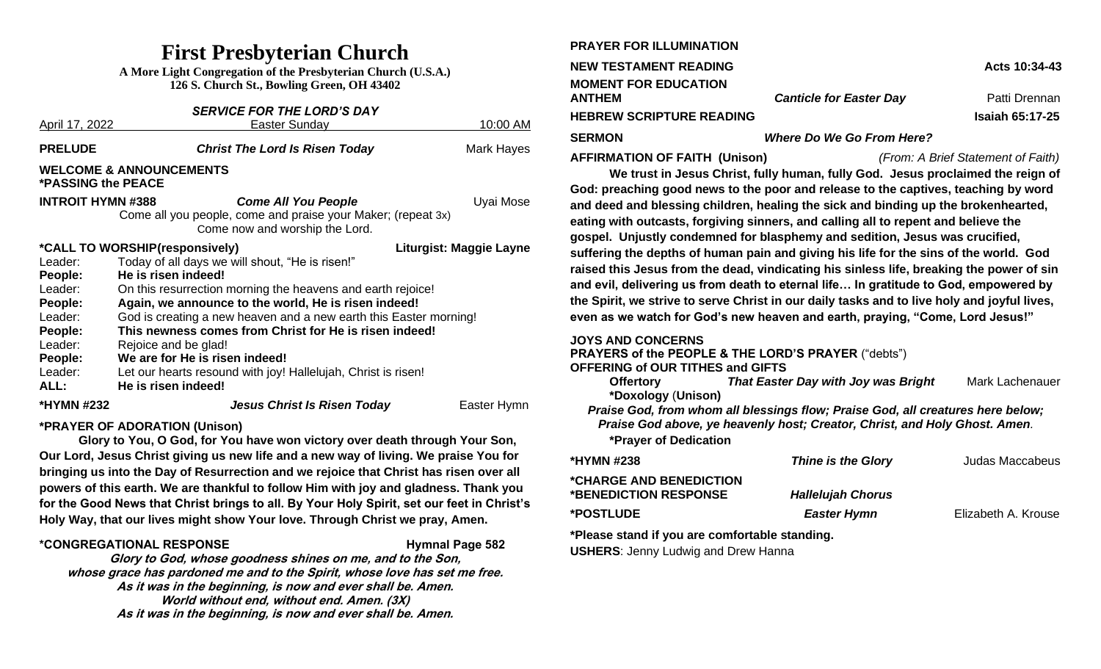## **First Presbyterian Church**

**A More Light Congregation of the Presbyterian Church (U.S.A.) 126 S. Church St., Bowling Green, OH 43402**

| <b>SERVICE FOR THE LORD'S DAY</b>                               |                                                                                                |             |  |  |  |
|-----------------------------------------------------------------|------------------------------------------------------------------------------------------------|-------------|--|--|--|
| April 17, 2022                                                  | Easter Sunday                                                                                  | 10:00 AM    |  |  |  |
| <b>PRELUDE</b>                                                  | <b>Christ The Lord Is Risen Today</b>                                                          | Mark Hayes  |  |  |  |
| <b>WELCOME &amp; ANNOUNCEMENTS</b><br><b>*PASSING the PEACE</b> |                                                                                                |             |  |  |  |
| <b>INTROIT HYMN #388</b>                                        | <b>Come All You People</b>                                                                     | Uyai Mose   |  |  |  |
|                                                                 | Come all you people, come and praise your Maker; (repeat 3x)<br>Come now and worship the Lord. |             |  |  |  |
| *CALL TO WORSHIP(responsively)<br>Liturgist: Maggie Layne       |                                                                                                |             |  |  |  |
| Leader:                                                         | Today of all days we will shout, "He is risen!"                                                |             |  |  |  |
| People:                                                         | He is risen indeed!                                                                            |             |  |  |  |
| Leader:                                                         | On this resurrection morning the heavens and earth rejoice!                                    |             |  |  |  |
| People:                                                         | Again, we announce to the world, He is risen indeed!                                           |             |  |  |  |
| Leader:                                                         | God is creating a new heaven and a new earth this Easter morning!                              |             |  |  |  |
| People:                                                         | This newness comes from Christ for He is risen indeed!                                         |             |  |  |  |
| Leader:                                                         | Rejoice and be glad!                                                                           |             |  |  |  |
| People:                                                         | We are for He is risen indeed!                                                                 |             |  |  |  |
| Leader:                                                         | Let our hearts resound with joy! Hallelujah, Christ is risen!                                  |             |  |  |  |
| ALL:                                                            | He is risen indeed!                                                                            |             |  |  |  |
| *HYMN #232                                                      | <b>Jesus Christ Is Risen Today</b>                                                             | Easter Hymn |  |  |  |

### **\*PRAYER OF ADORATION (Unison)**

**Glory to You, O God, for You have won victory over death through Your Son, Our Lord, Jesus Christ giving us new life and a new way of living. We praise You for bringing us into the Day of Resurrection and we rejoice that Christ has risen over all powers of this earth. We are thankful to follow Him with joy and gladness. Thank you for the Good News that Christ brings to all. By Your Holy Spirit, set our feet in Christ's Holy Way, that our lives might show Your love. Through Christ we pray, Amen.** 

### **\*CONGREGATIONAL RESPONSE Hymnal Page 582**

**Glory to God, whose goodness shines on me, and to the Son, whose grace has pardoned me and to the Spirit, whose love has set me free. As it was in the beginning, is now and ever shall be. Amen. World without end, without end. Amen. (3X) As it was in the beginning, is now and ever shall be. Amen.**

| <b>PRAYER FOR ILLUMINATION</b>               |                                  |                        |
|----------------------------------------------|----------------------------------|------------------------|
| <b>NEW TESTAMENT READING</b>                 |                                  | Acts 10:34-43          |
| <b>MOMENT FOR EDUCATION</b><br><b>ANTHEM</b> | <b>Canticle for Easter Day</b>   | Patti Drennan          |
| <b>HEBREW SCRIPTURE READING</b>              |                                  | <b>Isaiah 65:17-25</b> |
| <b>SERMON</b>                                | <b>Where Do We Go From Here?</b> |                        |

**AFFIRMATION OF FAITH (Unison)** *(From: A Brief Statement of Faith)*

**We trust in Jesus Christ, fully human, fully God. Jesus proclaimed the reign of God: preaching good news to the poor and release to the captives, teaching by word and deed and blessing children, healing the sick and binding up the brokenhearted, eating with outcasts, forgiving sinners, and calling all to repent and believe the gospel. Unjustly condemned for blasphemy and sedition, Jesus was crucified, suffering the depths of human pain and giving his life for the sins of the world. God raised this Jesus from the dead, vindicating his sinless life, breaking the power of sin and evil, delivering us from death to eternal life… In gratitude to God, empowered by the Spirit, we strive to serve Christ in our daily tasks and to live holy and joyful lives, even as we watch for God's new heaven and earth, praying, "Come, Lord Jesus!"**

### **JOYS AND CONCERNS**

**PRAYER FOR ILLUMINATION**

**PRAYERS of the PEOPLE & THE LORD'S PRAYER** ("debts")

#### **OFFERING of OUR TITHES and GIFTS**

**Offertory** *That Easter Day with Joy was Bright* Mark Lachenauer **\*Doxology** (**Unison)**

*Praise God, from whom all blessings flow; Praise God, all creatures here below; Praise God above, ye heavenly host; Creator, Christ, and Holy Ghost. Amen.*

**\*Prayer of Dedication**

| *HYMN #238                                       | <b>Thine is the Glory</b> | Judas Maccabeus     |
|--------------------------------------------------|---------------------------|---------------------|
| *CHARGE AND BENEDICTION<br>*BENEDICTION RESPONSE | <b>Hallelujah Chorus</b>  |                     |
| *POSTLUDE_                                       | <b>Easter Hymn</b>        | Elizabeth A. Krouse |

### **\*Please stand if you are comfortable standing.**

**USHERS**: Jenny Ludwig and Drew Hanna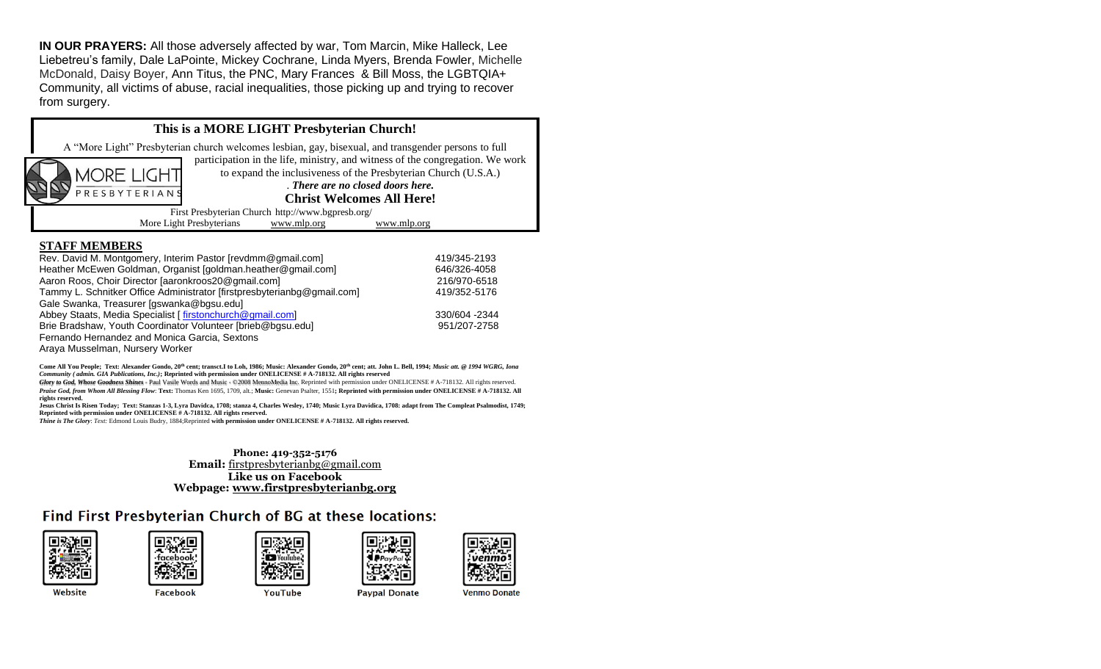**IN OUR PRAYERS:** All those adversely affected by war, Tom Marcin, Mike Halleck, Lee Liebetreu's family, Dale LaPointe, Mickey Cochrane, Linda Myers, Brenda Fowler, Michelle McDonald, Daisy Boyer, Ann Titus, the PNC, Mary Frances & Bill Moss, the LGBTQIA+ Community, all victims of abuse, racial inequalities, those picking up and trying to recover from surgery. 



#### **STAFF MEMBERS**

| Rev. David M. Montgomery, Interim Pastor [revdmm@gmail.com]             | 419/345-2193  |
|-------------------------------------------------------------------------|---------------|
| Heather McEwen Goldman, Organist [goldman.heather@gmail.com]            | 646/326-4058  |
| Aaron Roos, Choir Director Jaaronkroos20@gmail.com]                     | 216/970-6518  |
| Tammy L. Schnitker Office Administrator [firstpresbyterianbg@gmail.com] | 419/352-5176  |
| Gale Swanka, Treasurer [gswanka@bgsu.edu]                               |               |
| Abbey Staats, Media Specialist [firstonchurch@gmail.com]                | 330/604 -2344 |
| Brie Bradshaw, Youth Coordinator Volunteer [brieb@bgsu.edu]             | 951/207-2758  |
| Fernando Hernandez and Monica Garcia, Sextons                           |               |
| Araya Musselman, Nursery Worker                                         |               |

**Come All You People; Text: Alexander Gondo, 20th cent; transct.I to Loh, 1986; Music: Alexander Gondo, 20th cent; att. John L. Bell, 1994;** *Music att. @ 1994 WGRG, Iona Community ( admin. GIA Publications, Inc.)***; Reprinted with permission under ONELICENSE # A-718132. All rights reserved**

*Glory to God, Whose Goodness Shines* - Paul Vasile Words and Music - ©2008 MennoMedia Inc. Reprinted with permission under ONELICENSE # A-718132. All rights reserved. *Praise God, from Whom All Blessing Flow*: **Text:** Thomas Ken 1695, 1709, alt.; **Music:** Genevan Psalter, 1551**; Reprinted with permission under ONELICENSE # A-718132. All rights reserved.**

**Jesus Christ Is Risen Today; Text: Stanzas 1-3, Lyra Davidca, 1708; stanza 4, Charles Wesley, 1740; Music Lyra Davidica, 1708: adapt from The Compleat Psalmodist, 1749; Reprinted with permission under ONELICENSE # A-718132. All rights reserved.**

*Thine is The Glory*: *Text:* Edmond Louis Budry, 1884;Reprinted **with permission under ONELICENSE # A-718132. All rights reserved.**

#### **Phone: 419-352-5176 Email:** [firstpresbyterianbg@gmail.com](mailto:firstpresbyterianbg@gmail.com) **Like us on Facebook Webpage: [www.firstpresbyterianbg.org](http://www.firstpresbyterianbg.org/)**

### Find First Presbyterian Church of BG at these locations:





Facebook







Website

YouTube

**Venmo Donate**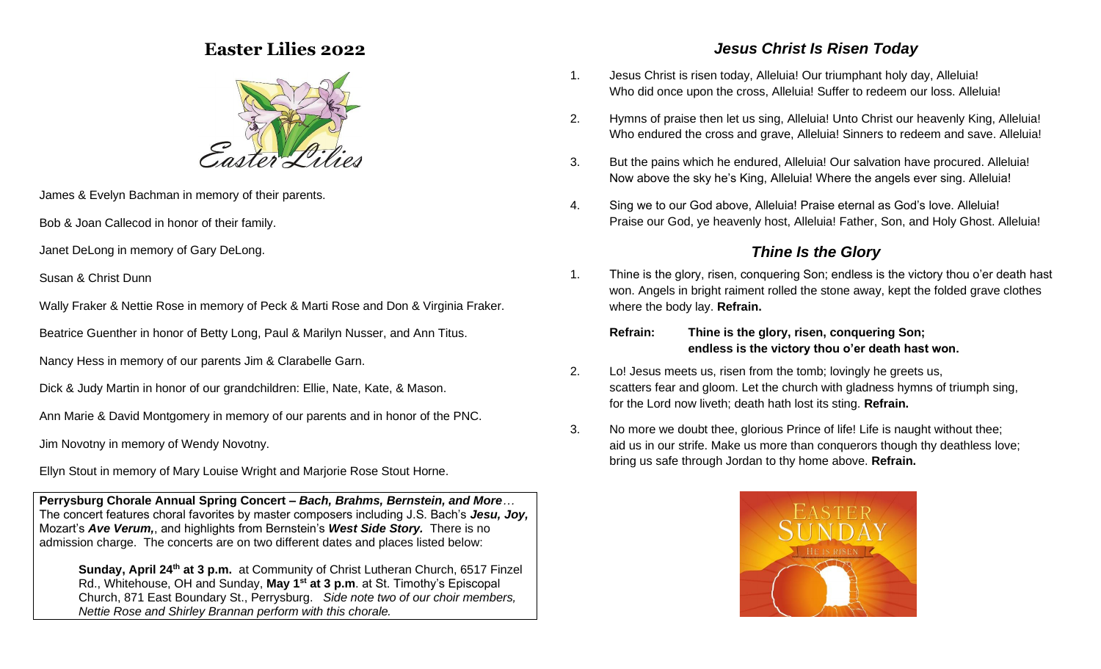### **Easter Lilies 2022**



James & Evelyn Bachman in memory of their parents.

Bob & Joan Callecod in honor of their family.

Janet DeLong in memory of Gary DeLong.

Susan & Christ Dunn

Wally Fraker & Nettie Rose in memory of Peck & Marti Rose and Don & Virginia Fraker.

Beatrice Guenther in honor of Betty Long, Paul & Marilyn Nusser, and Ann Titus.

Nancy Hess in memory of our parents Jim & Clarabelle Garn.

Dick & Judy Martin in honor of our grandchildren: Ellie, Nate, Kate, & Mason.

Ann Marie & David Montgomery in memory of our parents and in honor of the PNC.

Jim Novotny in memory of Wendy Novotny.

Ellyn Stout in memory of Mary Louise Wright and Marjorie Rose Stout Horne.

**Perrysburg Chorale Annual Spring Concert –** *Bach, Brahms, Bernstein, and More…* The concert features choral favorites by master composers including J.S. Bach's *Jesu, Joy,*  Mozart's *Ave Verum,*, and highlights from Bernstein's *West Side Story.* There is no admission charge. The concerts are on two different dates and places listed below:

**Sunday, April 24th at 3 p.m.** at Community of Christ Lutheran Church, 6517 Finzel Rd., Whitehouse, OH and Sunday, **May 1st at 3 p.m**. at St. Timothy's Episcopal Church, 871 East Boundary St., Perrysburg. *Side note two of our choir members, Nettie Rose and Shirley Brannan perform with this chorale.*

### *Jesus Christ Is Risen Today*

- 1. Jesus Christ is risen today, Alleluia! Our triumphant holy day, Alleluia! Who did once upon the cross, Alleluia! Suffer to redeem our loss. Alleluia!
- 2. Hymns of praise then let us sing, Alleluia! Unto Christ our heavenly King, Alleluia! Who endured the cross and grave, Alleluia! Sinners to redeem and save. Alleluia!
- 3. But the pains which he endured, Alleluia! Our salvation have procured. Alleluia! Now above the sky he's King, Alleluia! Where the angels ever sing. Alleluia!
- 4. Sing we to our God above, Alleluia! Praise eternal as God's love. Alleluia! Praise our God, ye heavenly host, Alleluia! Father, Son, and Holy Ghost. Alleluia!

### *Thine Is the Glory*

- 1. Thine is the glory, risen, conquering Son; endless is the victory thou o'er death hast won. Angels in bright raiment rolled the stone away, kept the folded grave clothes where the body lay. **Refrain.**
	- **Refrain: Thine is the glory, risen, conquering Son; endless is the victory thou o'er death hast won.**
- 2. Lo! Jesus meets us, risen from the tomb; lovingly he greets us, scatters fear and gloom. Let the church with gladness hymns of triumph sing, for the Lord now liveth; death hath lost its sting. **Refrain.**
- 3. No more we doubt thee, glorious Prince of life! Life is naught without thee; aid us in our strife. Make us more than conquerors though thy deathless love; bring us safe through Jordan to thy home above. **Refrain.**